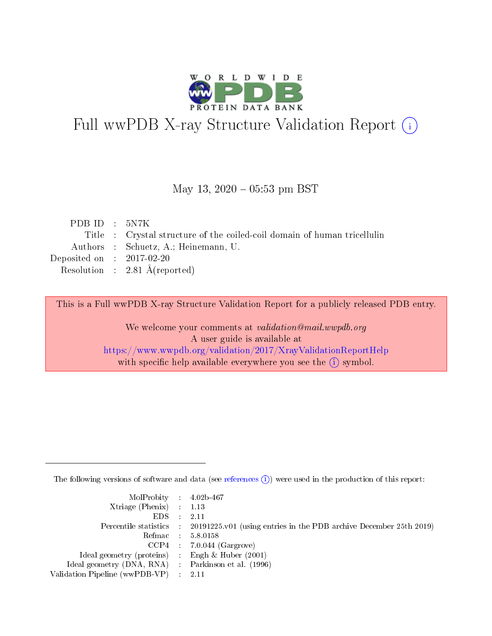

# Full wwPDB X-ray Structure Validation Report (i)

#### May 13,  $2020 - 05:53$  pm BST

| PDB ID : $5N7K$             |                                                                          |
|-----------------------------|--------------------------------------------------------------------------|
|                             | Title : Crystal structure of the coiled-coil domain of human tricellulin |
|                             | Authors : Schuetz, A.; Heinemann, U.                                     |
| Deposited on : $2017-02-20$ |                                                                          |
|                             | Resolution : $2.81 \text{ Å}$ (reported)                                 |
|                             |                                                                          |

This is a Full wwPDB X-ray Structure Validation Report for a publicly released PDB entry.

We welcome your comments at validation@mail.wwpdb.org A user guide is available at <https://www.wwpdb.org/validation/2017/XrayValidationReportHelp> with specific help available everywhere you see the  $(i)$  symbol.

The following versions of software and data (see [references](https://www.wwpdb.org/validation/2017/XrayValidationReportHelp#references)  $(i)$ ) were used in the production of this report:

| MolProbity : 4.02b-467                              |                                                                                            |
|-----------------------------------------------------|--------------------------------------------------------------------------------------------|
| Xtriage (Phenix) $: 1.13$                           |                                                                                            |
| $EDS = 2.11$                                        |                                                                                            |
|                                                     | Percentile statistics : 20191225.v01 (using entries in the PDB archive December 25th 2019) |
|                                                     | Refmac : 5.8.0158                                                                          |
|                                                     | $CCP4$ : 7.0.044 (Gargrove)                                                                |
| Ideal geometry (proteins) : Engh $\&$ Huber (2001)  |                                                                                            |
| Ideal geometry (DNA, RNA) : Parkinson et al. (1996) |                                                                                            |
| Validation Pipeline (wwPDB-VP) : 2.11               |                                                                                            |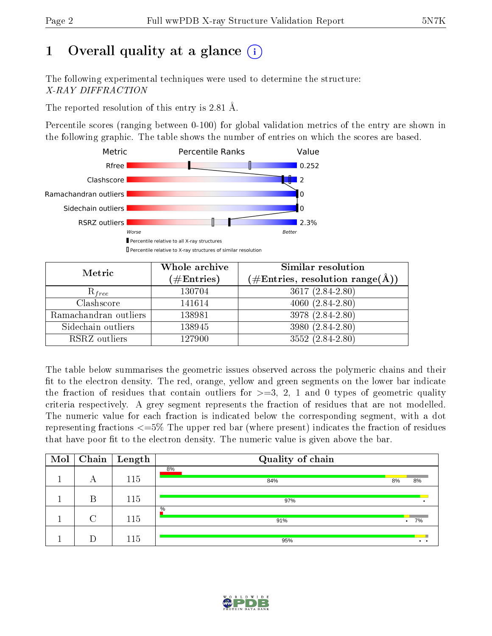# 1 [O](https://www.wwpdb.org/validation/2017/XrayValidationReportHelp#overall_quality)verall quality at a glance  $(i)$

The following experimental techniques were used to determine the structure: X-RAY DIFFRACTION

The reported resolution of this entry is 2.81 Å.

Percentile scores (ranging between 0-100) for global validation metrics of the entry are shown in the following graphic. The table shows the number of entries on which the scores are based.



| Metric                | Whole archive        | Similar resolution                                                     |  |  |
|-----------------------|----------------------|------------------------------------------------------------------------|--|--|
|                       | $(\#\text{Entries})$ | $(\#\text{Entries},\,\text{resolution}\,\,\text{range}(\textup{\AA}))$ |  |  |
| $R_{free}$            | 130704               | $3617 (2.84 - 2.80)$                                                   |  |  |
| Clashscore            | 141614               | $4060(2.84-2.80)$                                                      |  |  |
| Ramachandran outliers | 138981               | $3978(2.84-2.80)$                                                      |  |  |
| Sidechain outliers    | 138945               | 3980 (2.84-2.80)                                                       |  |  |
| RSRZ outliers         | 127900               | $3552(2.84-2.80)$                                                      |  |  |

The table below summarises the geometric issues observed across the polymeric chains and their fit to the electron density. The red, orange, yellow and green segments on the lower bar indicate the fraction of residues that contain outliers for  $>=3, 2, 1$  and 0 types of geometric quality criteria respectively. A grey segment represents the fraction of residues that are not modelled. The numeric value for each fraction is indicated below the corresponding segment, with a dot representing fractions <=5% The upper red bar (where present) indicates the fraction of residues that have poor fit to the electron density. The numeric value is given above the bar.

| Mol |        | $\boxed{\text{Chain}   \text{ Length}}$ | Quality of chain |           |    |
|-----|--------|-----------------------------------------|------------------|-----------|----|
|     | А      | 115                                     | 8%<br>84%        | 8%        | 8% |
|     | В      | 115                                     | 97%              |           |    |
|     | $\cap$ | 115                                     | $\%$<br>91%      | $\bullet$ | 7% |
|     |        | 115                                     | 95%              |           |    |

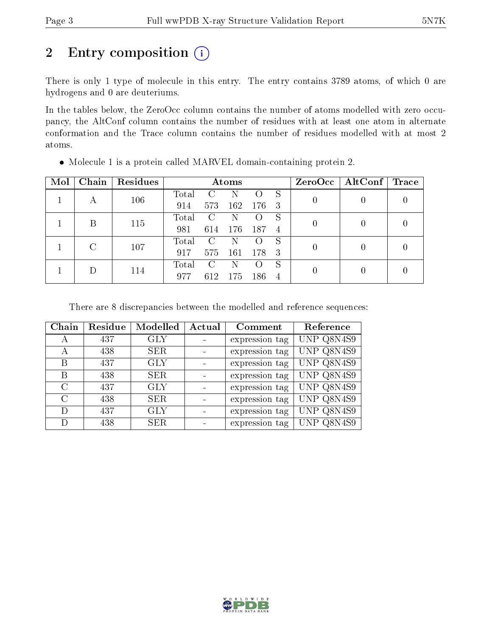# 2 Entry composition  $(i)$

There is only 1 type of molecule in this entry. The entry contains 3789 atoms, of which 0 are hydrogens and 0 are deuteriums.

In the tables below, the ZeroOcc column contains the number of atoms modelled with zero occupancy, the AltConf column contains the number of residues with at least one atom in alternate conformation and the Trace column contains the number of residues modelled with at most 2 atoms.

| Mol | Chain | Residues | Atoms |                             |     |                |    |  | $ZeroOcc \   \$ AltConf | Trace |
|-----|-------|----------|-------|-----------------------------|-----|----------------|----|--|-------------------------|-------|
|     |       | 106      | Total |                             |     |                | S  |  |                         |       |
|     |       |          | 914   | 573                         | 162 | 176            | -3 |  |                         |       |
|     | В     | 115      | Total | $\mathcal{C}_{\mathcal{C}}$ | N   |                | S  |  |                         |       |
|     |       |          | 981   | 614                         | 176 | 187            | -4 |  |                         |       |
|     |       | 107      | Total | $\mathbf C$                 | N   |                | S  |  |                         |       |
|     |       |          | 917   | 575                         | 161 | 178            | -3 |  |                         |       |
|     |       |          | Total |                             | N   |                | S  |  |                         |       |
|     | 114   | 977      | 612   | 175                         | 186 | $\overline{4}$ |    |  |                         |       |

Molecule 1 is a protein called MARVEL domain-containing protein 2.

There are 8 discrepancies between the modelled and reference sequences:

| Chain         | Residue | Modelled   | Actual | Comment        | Reference  |
|---------------|---------|------------|--------|----------------|------------|
| А             | 437     | <b>GLY</b> |        | expression tag | UNP Q8N4S9 |
| А             | 438     | <b>SER</b> |        | expression tag | UNP Q8N4S9 |
| В             | 437     | <b>GLY</b> |        | expression tag | UNP Q8N4S9 |
| Β             | 438     | <b>SER</b> |        | expression tag | UNP Q8N4S9 |
| $\mathcal{C}$ | 437     | <b>GLY</b> |        | expression tag | UNP Q8N4S9 |
| C             | 438     | <b>SER</b> |        | expression tag | UNP Q8N4S9 |
| D             | 437     | <b>GLY</b> |        | expression tag | UNP Q8N4S9 |
|               | 438     | <b>SER</b> |        | expression tag | UNP Q8N4S9 |

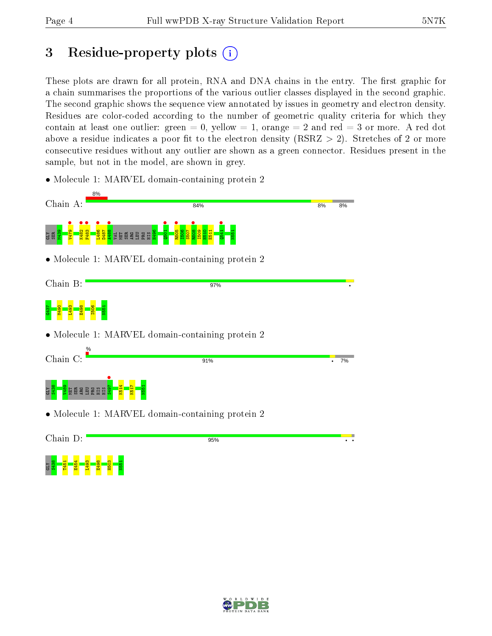## 3 Residue-property plots  $\binom{1}{1}$

These plots are drawn for all protein, RNA and DNA chains in the entry. The first graphic for a chain summarises the proportions of the various outlier classes displayed in the second graphic. The second graphic shows the sequence view annotated by issues in geometry and electron density. Residues are color-coded according to the number of geometric quality criteria for which they contain at least one outlier: green  $= 0$ , yellow  $= 1$ , orange  $= 2$  and red  $= 3$  or more. A red dot above a residue indicates a poor fit to the electron density (RSRZ  $> 2$ ). Stretches of 2 or more consecutive residues without any outlier are shown as a green connector. Residues present in the sample, but not in the model, are shown in grey.

• Molecule 1: MARVEL domain-containing protein 2





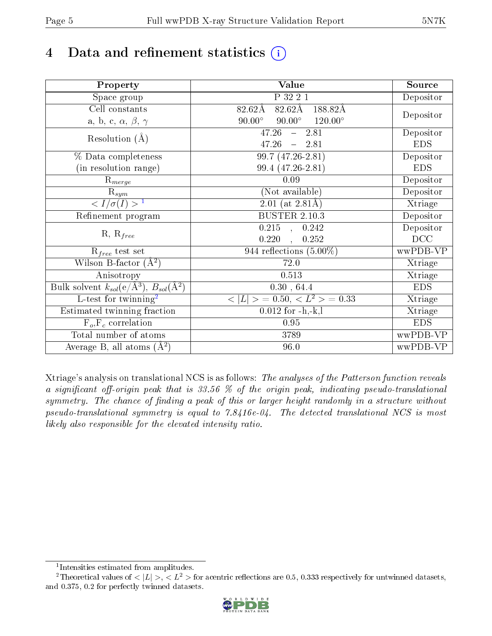# 4 Data and refinement statistics  $(i)$

| Property                                                             | Value                                            | Source     |
|----------------------------------------------------------------------|--------------------------------------------------|------------|
| Space group                                                          | P 32 2 1                                         | Depositor  |
| Cell constants                                                       | $82.62\text{\AA}$<br>188.82Å<br>$82.62\rm\AA$    |            |
| a, b, c, $\alpha,\,\beta,\,\gamma$                                   | $90.00^\circ$<br>$120.00^\circ$<br>$90.00^\circ$ | Depositor  |
| Resolution $(A)$                                                     | 47.26<br>$-2.81$                                 | Depositor  |
|                                                                      | 47.26<br>$-2.81$                                 | <b>EDS</b> |
| % Data completeness                                                  | 99.7 (47.26-2.81)                                | Depositor  |
| (in resolution range)                                                | 99.4 (47.26-2.81)                                | <b>EDS</b> |
| $R_{merge}$                                                          | 0.09                                             | Depositor  |
| $\mathrm{R}_{sym}$                                                   | (Not available)                                  | Depositor  |
| $\sqrt{I/\sigma}(I) > 1$                                             | 2.01 (at $2.81\text{\AA}$ )                      | Xtriage    |
| Refinement program                                                   | <b>BUSTER 2.10.3</b>                             | Depositor  |
|                                                                      | $0.215$ , $0.242$                                | Depositor  |
| $R, R_{free}$                                                        | 0.220<br>0.252                                   | DCC        |
| $R_{free}$ test set                                                  | 944 reflections $(5.00\%)$                       | wwPDB-VP   |
| Wilson B-factor $(A^2)$                                              | 72.0                                             | Xtriage    |
| Anisotropy                                                           | 0.513                                            | Xtriage    |
| Bulk solvent $k_{sol}(e/\mathring{A}^3)$ , $B_{sol}(\mathring{A}^2)$ | 0.30, 64.4                                       | <b>EDS</b> |
| L-test for twinning <sup>2</sup>                                     | $< L >$ = 0.50, $< L2$ > = 0.33                  | Xtriage    |
| Estimated twinning fraction                                          | $0.012$ for $-h,-k,l$                            | Xtriage    |
| $F_o, F_c$ correlation                                               | 0.95                                             | <b>EDS</b> |
| Total number of atoms                                                | 3789                                             | wwPDB-VP   |
| Average B, all atoms $(A^2)$                                         | 96.0                                             | wwPDB-VP   |

Xtriage's analysis on translational NCS is as follows: The analyses of the Patterson function reveals a significant off-origin peak that is 33.56  $\%$  of the origin peak, indicating pseudo-translational symmetry. The chance of finding a peak of this or larger height randomly in a structure without pseudo-translational symmetry is equal to 7.8416e-04. The detected translational NCS is most likely also responsible for the elevated intensity ratio.

<sup>&</sup>lt;sup>2</sup>Theoretical values of  $\langle |L| \rangle$ ,  $\langle L^2 \rangle$  for acentric reflections are 0.5, 0.333 respectively for untwinned datasets, and 0.375, 0.2 for perfectly twinned datasets.



<span id="page-4-1"></span><span id="page-4-0"></span><sup>1</sup> Intensities estimated from amplitudes.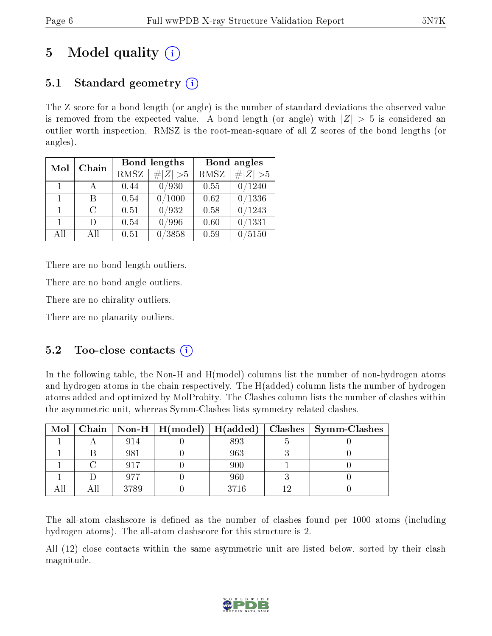## 5 Model quality  $(i)$

### 5.1 Standard geometry  $\overline{()}$

The Z score for a bond length (or angle) is the number of standard deviations the observed value is removed from the expected value. A bond length (or angle) with  $|Z| > 5$  is considered an outlier worth inspection. RMSZ is the root-mean-square of all Z scores of the bond lengths (or angles).

| Mol            | Chain  |      | <b>Bond lengths</b> | Bond angles |             |  |
|----------------|--------|------|---------------------|-------------|-------------|--|
|                |        | RMSZ | $\# Z  > 5$         | <b>RMSZ</b> | $\ Z\  > 5$ |  |
| $\overline{1}$ |        | 0.44 | 0/930               | 0.55        | 0/1240      |  |
| $\mathbf{1}$   | R      | 0.54 | $\sqrt{1000}$       | 0.62        | 0/1336      |  |
| $\mathbf{1}$   | $\cap$ | 0.51 | 0/932               | 0.58        | 0/1243      |  |
| $\mathbf{1}$   | $\Box$ | 0.54 | 0/996               | 0.60        | /1331       |  |
| All            | Αll    | 0.51 | 3858                | 0.59        | 5150        |  |

There are no bond length outliers.

There are no bond angle outliers.

There are no chirality outliers.

There are no planarity outliers.

### 5.2 Too-close contacts  $\overline{()}$

In the following table, the Non-H and H(model) columns list the number of non-hydrogen atoms and hydrogen atoms in the chain respectively. The H(added) column lists the number of hydrogen atoms added and optimized by MolProbity. The Clashes column lists the number of clashes within the asymmetric unit, whereas Symm-Clashes lists symmetry related clashes.

|  |      | Mol   Chain   Non-H   H(model)   H(added) |      | Clashes   Symm-Clashes |
|--|------|-------------------------------------------|------|------------------------|
|  | 914  |                                           | 893  |                        |
|  | 981  |                                           | 963  |                        |
|  | 917  |                                           | 900  |                        |
|  | 077  |                                           | 960  |                        |
|  | 3789 |                                           | 3716 |                        |

The all-atom clashscore is defined as the number of clashes found per 1000 atoms (including hydrogen atoms). The all-atom clashscore for this structure is 2.

All (12) close contacts within the same asymmetric unit are listed below, sorted by their clash magnitude.

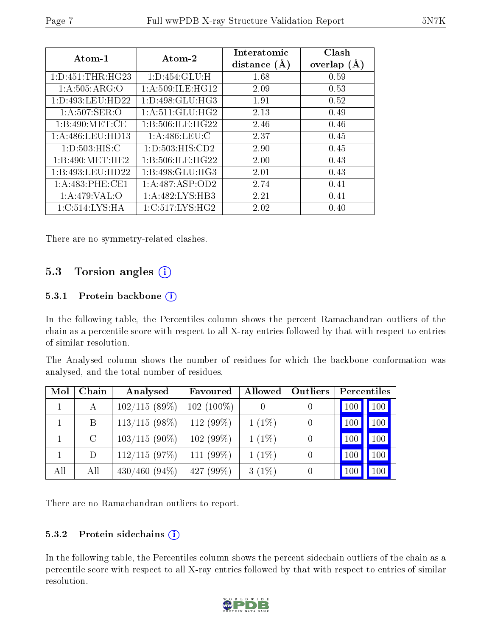| Atom-1            | Atom-2                         | Interatomic<br>distance $(A)$ | Clash<br>overlap<br>(A) |
|-------------------|--------------------------------|-------------------------------|-------------------------|
| 1:D:451:THR:HG23  | $1: D: 454: GLU: \overline{H}$ | 1.68                          | 0.59                    |
| 1: A:505: ARG:O   | 1: A:509: ILE: HG12            | 2.09                          | 0.53                    |
| 1:D:493:LEU:HD22  | 1: D: 498: GLU: HG3            | 1.91                          | 0.52                    |
| $1: A:507:$ SER:O | 1: A:511: GLU: HG2             | 2.13                          | 0.49                    |
| 1:B:490:MET:CE    | 1:B:506:ILE:HG22               | 2.46                          | 0.46                    |
| 1: A:486:LEU:HD13 | 1:A:486:LEU:C                  | 2.37                          | 0.45                    |
| 1: D: 503: HIS:C  | 1: D: 503: HIS: CD2            | 2.90                          | 0.45                    |
| 1:B:490:MET:HE2   | 1:B:506:ILE:HG22               | 2.00                          | 0.43                    |
| 1:B:493:LEU:HD22  | 1:B:498:GLU:HG3                | 2.01                          | 0.43                    |
| 1: A:483: PHE:CE1 | 1: A:487: ASP:OD2              | 2.74                          | 0.41                    |
| 1: A:479: VAL:O   | 1:A:482:LYS:HB3                | 2.21                          | 0.41                    |
| 1:C:514:LYS:HA    | 1:C:517:LYS:HG2                | 2.02                          | (0.40)                  |

There are no symmetry-related clashes.

### 5.3 Torsion angles  $(i)$

#### 5.3.1 Protein backbone (i)

In the following table, the Percentiles column shows the percent Ramachandran outliers of the chain as a percentile score with respect to all X-ray entries followed by that with respect to entries of similar resolution.

The Analysed column shows the number of residues for which the backbone conformation was analysed, and the total number of residues.

| Mol | Chain   | Analysed        | Favoured     | Allowed  | Outliers         | Percentiles |     |
|-----|---------|-----------------|--------------|----------|------------------|-------------|-----|
|     | A       | 102/115(89%)    | $102(100\%)$ |          |                  | 100         | 100 |
|     | B       | $113/115(98\%)$ | 112 (99%)    | $1(1\%)$ |                  | 100         | 100 |
|     | $\rm C$ | $103/115(90\%)$ | 102(99%)     | $1(1\%)$ |                  | 100         | 100 |
|     | D       | 112/115(97%)    | 111 $(99\%)$ | $1(1\%)$ | $\left( \right)$ | 100         | 100 |
| All | All     | $430/460(94\%)$ | 427 (99%)    | $3(1\%)$ |                  | 100         | 100 |

There are no Ramachandran outliers to report.

#### 5.3.2 Protein sidechains  $(i)$

In the following table, the Percentiles column shows the percent sidechain outliers of the chain as a percentile score with respect to all X-ray entries followed by that with respect to entries of similar resolution.

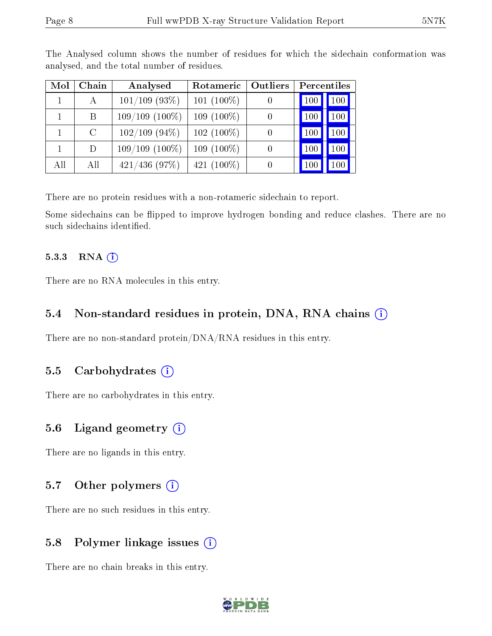| Mol | Chain         | Analysed         | Rotameric     | <b>Outliers</b> | Percentiles |     |
|-----|---------------|------------------|---------------|-----------------|-------------|-----|
|     | $\mathbf{A}$  | $101/109$ (93\%) | $101 (100\%)$ |                 | 100         | 100 |
|     | B             | $109/109(100\%)$ | $109(100\%)$  |                 | 100         | 100 |
|     | $\mathcal{C}$ | $102/109$ (94\%) | $102(100\%)$  |                 | 100         | 100 |
|     | D             | $109/109(100\%)$ | $109(100\%)$  |                 | 100         | 100 |
| All | All           | $421/436$ (97\%) | 421 $(100\%)$ |                 | 100         | 100 |

The Analysed column shows the number of residues for which the sidechain conformation was analysed, and the total number of residues.

There are no protein residues with a non-rotameric sidechain to report.

Some sidechains can be flipped to improve hydrogen bonding and reduce clashes. There are no such sidechains identified.

#### 5.3.3 RNA (1)

There are no RNA molecules in this entry.

#### 5.4 Non-standard residues in protein, DNA, RNA chains  $(i)$

There are no non-standard protein/DNA/RNA residues in this entry.

#### 5.5 Carbohydrates  $(i)$

There are no carbohydrates in this entry.

#### 5.6 Ligand geometry  $(i)$

There are no ligands in this entry.

#### 5.7 [O](https://www.wwpdb.org/validation/2017/XrayValidationReportHelp#nonstandard_residues_and_ligands)ther polymers  $(i)$

There are no such residues in this entry.

#### 5.8 Polymer linkage issues  $(i)$

There are no chain breaks in this entry.

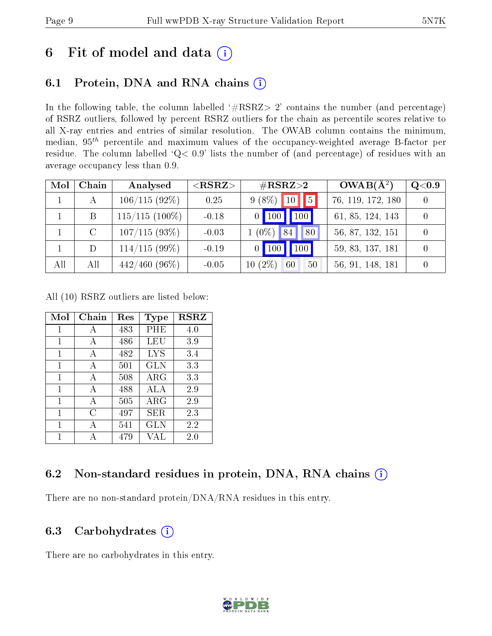## 6 Fit of model and data  $(i)$

### 6.1 Protein, DNA and RNA chains  $(i)$

In the following table, the column labelled  $#RSRZ> 2'$  contains the number (and percentage) of RSRZ outliers, followed by percent RSRZ outliers for the chain as percentile scores relative to all X-ray entries and entries of similar resolution. The OWAB column contains the minimum, median,  $95<sup>th</sup>$  percentile and maximum values of the occupancy-weighted average B-factor per residue. The column labelled ' $Q< 0.9$ ' lists the number of (and percentage) of residues with an average occupancy less than 0.9.

| Mol | Chain   | Analysed         | $<$ RSRZ $>$ | $\rm \#RSRZ{>}2$      | $OWAB(A^2)$       | Q <sub>0.9</sub> |
|-----|---------|------------------|--------------|-----------------------|-------------------|------------------|
|     | A       | $106/115(92\%)$  | 0.25         | $9(8\%)$<br>5<br>10   | 76, 119, 172, 180 |                  |
|     | B       | $115/115$ (100%) | $-0.18$      | 100<br>$0$   100      | 61, 85, 124, 143  |                  |
|     | $\rm C$ | $107/115(93\%)$  | $-0.03$      | $(0\%)$<br>80<br>84   | 56, 87, 132, 151  |                  |
|     | D       | $114/115(99\%)$  | $-0.19$      | 100<br><b>100</b>     | 59, 83, 137, 181  |                  |
| All | All     | $442/460$ (96\%) | $-0.05$      | $10(2\%)$<br>60<br>50 | 56, 91, 148, 181  |                  |

All (10) RSRZ outliers are listed below:

| Mol | Chain | Res | <b>Type</b> | <b>RSRZ</b> |
|-----|-------|-----|-------------|-------------|
| 1   | А     | 483 | PHE         | 4.0         |
| 1   | А     | 486 | LEU         | 3.9         |
| 1   | A     | 482 | LYS         | 3.4         |
| 1   | A     | 501 | <b>GLN</b>  | 3.3         |
| 1   | A     | 508 | ${\rm ARG}$ | 3.3         |
| 1   | А     | 488 | ALA         | 2.9         |
| 1   | А     | 505 | $\rm{ARG}$  | 2.9         |
| 1   | C     | 497 | SER         | 2.3         |
| 1   | А     | 541 | <b>GLN</b>  | 2.2         |
| 1   |       | 479 | VAI.        | 2.0         |

### 6.2 Non-standard residues in protein, DNA, RNA chains  $(i)$

There are no non-standard protein/DNA/RNA residues in this entry.

### 6.3 Carbohydrates  $(i)$

There are no carbohydrates in this entry.